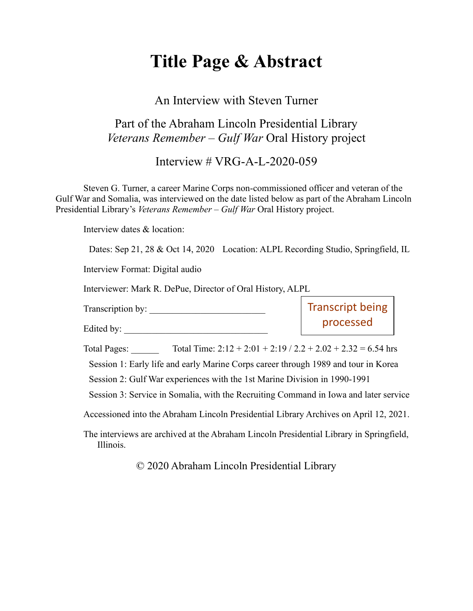# **Title Page & Abstract**

### An Interview with Steven Turner

## Part of the Abraham Lincoln Presidential Library *Veterans Remember – Gulf War* Oral History project

Interview # VRG-A-L-2020-059

Steven G. Turner, a career Marine Corps non-commissioned officer and veteran of the Gulf War and Somalia, was interviewed on the date listed below as part of the Abraham Lincoln Presidential Library's *Veterans Remember – Gulf War* Oral History project.

Interview dates & location:

Dates: Sep 21, 28 & Oct 14, 2020 Location: ALPL Recording Studio, Springfield, IL

Interview Format: Digital audio

Interviewer: Mark R. DePue, Director of Oral History, ALPL

Transcription by:

Edited by:

Transcript being processed

Total Pages: Total Time:  $2:12 + 2:01 + 2:19 / 2.2 + 2.02 + 2.32 = 6.54$  hrs Session 1: Early life and early Marine Corps career through 1989 and tour in Korea Session 2: Gulf War experiences with the 1st Marine Division in 1990-1991

Session 3: Service in Somalia, with the Recruiting Command in Iowa and later service

Accessioned into the Abraham Lincoln Presidential Library Archives on April 12, 2021.

The interviews are archived at the Abraham Lincoln Presidential Library in Springfield, Illinois.

© 2020 Abraham Lincoln Presidential Library